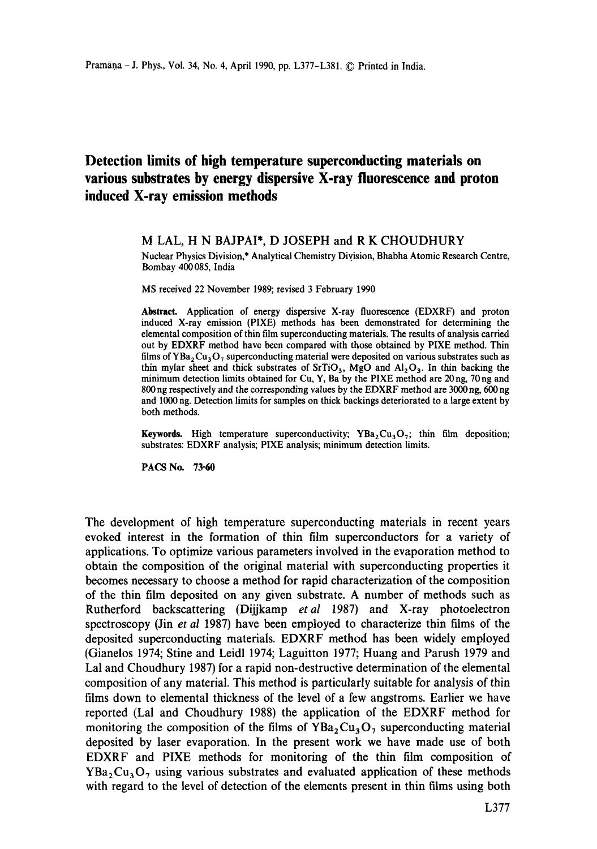## **Detection limits of high temperature superconducting materials on various substrates by energy dispersive X-ray fluorescence and proton induced X-ray emission methods**

## M LAL, H N BAJPAI\*, D JOSEPH and R K CHOUDHURY

Nuclear Physics Division,\* Analytical Chemistry Division, Bhabha Atomic Research Centre, Bombay 400085, India

MS received 22 November 1989; revised 3 February 1990

**Abstract.** Application of energy dispersive X-ray fluorescence (EDXRF) and proton induced X-ray emission (PIXE) methods has been demonstrated for determining the elemental composition of thin film superconducting materials. The results of analysis carried out by EDXRF method have been compared with those obtained by PIXE method. Thin films of  $YBa_2Cu_3O_7$  superconducting material were deposited on various substrates such as thin mylar sheet and thick substrates of  $SrTiO<sub>3</sub>$ , MgO and  $Al<sub>2</sub>O<sub>3</sub>$ . In thin backing the minimum detection limits obtained for Cu, Y, Ba by the PIXE method are  $20 \text{ ng}$ ,  $70 \text{ ng}$  and 800 ng respectively and the corresponding values by the EDXRF method are 3000 ng, 600 ng and 1000 ng. Detection limits for samples on thick backings deteriorated to a large extent by both methods.

**Keywords.** High temperature superconductivity;  $YBa_2Cu_3O_7$ ; thin film deposition; substrates: EDXRF analysis; PIXE analysis; minimum detection limits.

PACS No. 73.60

The development of high temperature superconducting materials in recent years evoked interest in the formation of thin film superconductors for a variety of applications. To optimize various parameters involved in the evaporation method to obtain the composition of the original material with superconducting properties it becomes necessary to choose a method for rapid characterization of the composition of the thin film deposited on any given substrate. A number of methods such as Rutherford backscattering (Dijjkamp *etal* 1987) and X-ray photoelectron spectroscopy (Jin *et al* 1987) have been employed to characterize thin films of the deposited superconducting materials. EDXRF method has been widely employed (Gianelos 1974; Stine and Leidl 1974; Laguitton 1977; Huang and Parush 1979 and Lal and Choudhury 1987) for a rapid non-destructive determination of the elemental composition of any material. This method is particularly suitable for analysis of thin films down to elemental thickness of the level of a few angstroms. Earlier we have reported (Lal and Choudhury 1988) the application of the EDXRF method for monitoring the composition of the films of  $YBa<sub>2</sub> Cu<sub>3</sub>O<sub>7</sub>$  superconducting material deposited by laser evaporation. In the present work we have made use of both EDXRF and PIXE methods for monitoring of the thin film composition of  $YBa<sub>2</sub>Cu<sub>3</sub>O<sub>7</sub>$  using various substrates and evaluated application of these methods with regard to the level of detection of the elements present in thin films using both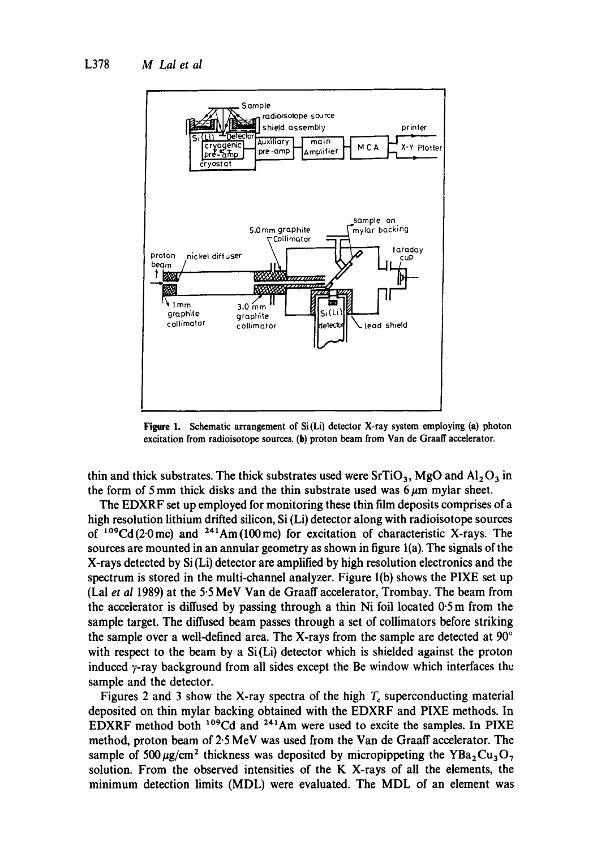

**Figure** 1, Schematic arrangement of Si(Li) detector X-ray system employing (a) photon excitation from radioisotope sources. (b) proton beam from Van de Graaff accelerator.

thin and thick substrates. The thick substrates used were  $SrTiO<sub>3</sub>$ , MgO and  $Al<sub>2</sub>O<sub>3</sub>$  in the form of 5 mm thick disks and the thin substrate used was  $6~\mu$ m mylar sheet.

The EDXRF set up employed for monitoring these thin film deposits comprises of a high resolution lithium drifted silicon, Si (Li) detector along with radioisotope sources of  $109 \text{Cd}(20 \text{mc})$  and  $241 \text{Am}(100 \text{mc})$  for excitation of characteristic X-rays. The sources are mounted in an annular geometry as shown in figure l(a). The signals of the X-rays detected by Si (Li) detector are amplified by high resolution electronics and the spectrum is stored in the multi-channel analyzer. Figure l(b) shows the PIXE set up (Lal *et al* 1989) at the 5.5 MeV Van de Graaff accelerator, Trombay. The beam from the accelerator is diffused by passing through a thin Ni foil located 0.5 m from the sample target. The diffused beam passes through a set of collimators before striking the sample over a well-defined area. The X-rays from the sample are detected at  $90^{\circ}$ with respect to the beam by a  $Si(L)$  detector which is shielded against the proton induced  $y$ -ray background from all sides except the Be window which interfaces the sample and the detector.

Figures 2 and 3 show the X-ray spectra of the high  $T_c$  superconducting material deposited on thin mylar backing obtained with the EDXRF and PIXE methods. In EDXRF method both <sup>109</sup>Cd and <sup>241</sup>Am were used to excite the samples. In PIXE method, proton beam of 2.5 MeV was used from the Van de Graaff accelerator. The sample of 500  $\mu$ g/cm<sup>2</sup> thickness was deposited by micropippeting the YBa<sub>2</sub>Cu<sub>3</sub>O<sub>7</sub> solution. From the observed intensities of the K X-rays of all the elements, the minimum detection limits (MDL) were evaluated. The MDL of an element was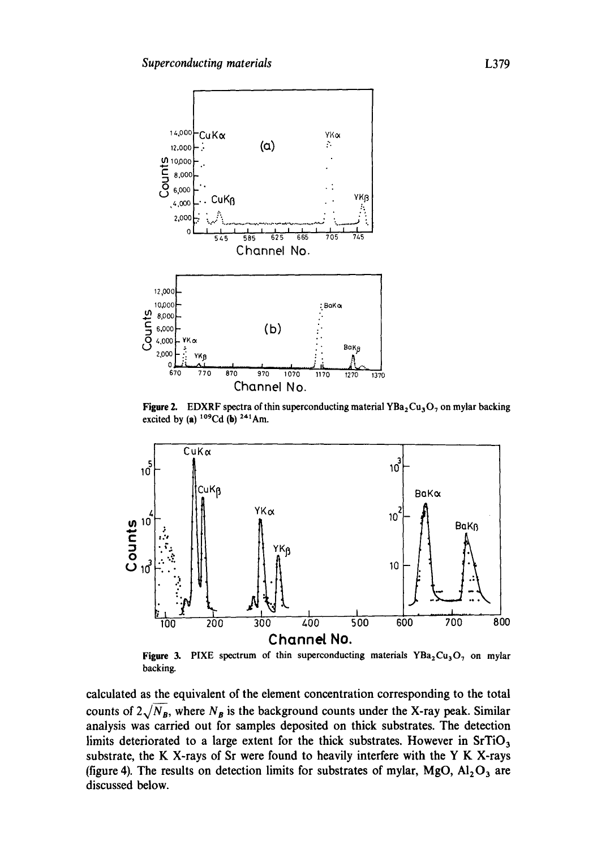

**Figure 2.** EDXRF spectra of thin superconducting material  $YBa<sub>2</sub>Cu<sub>3</sub>O<sub>7</sub>$  on mylar backing **excited by (a)**  $^{109}Cd$  (b)  $^{241}Am$ .



**Figure 3.** PIXE spectrum of thin superconducting materials  $YBa_2Cu_3O_7$  on mylar backing.

**calculated as the equivalent of the element concentration corresponding to the total**  counts of  $2\sqrt{N_B}$ , where  $N_B$  is the background counts under the X-ray peak. Similar **analysis was carried out for samples deposited on thick substrates. The detection**  limits deteriorated to a large extent for the thick substrates. However in SrTiO<sub>3</sub> **substrate, the K X-rays of Sr were found to heavily interfere with the Y K X-rays**  (figure 4). The results on detection limits for substrates of mylar,  $MgO$ ,  $Al_2O_3$  are **discussed below.**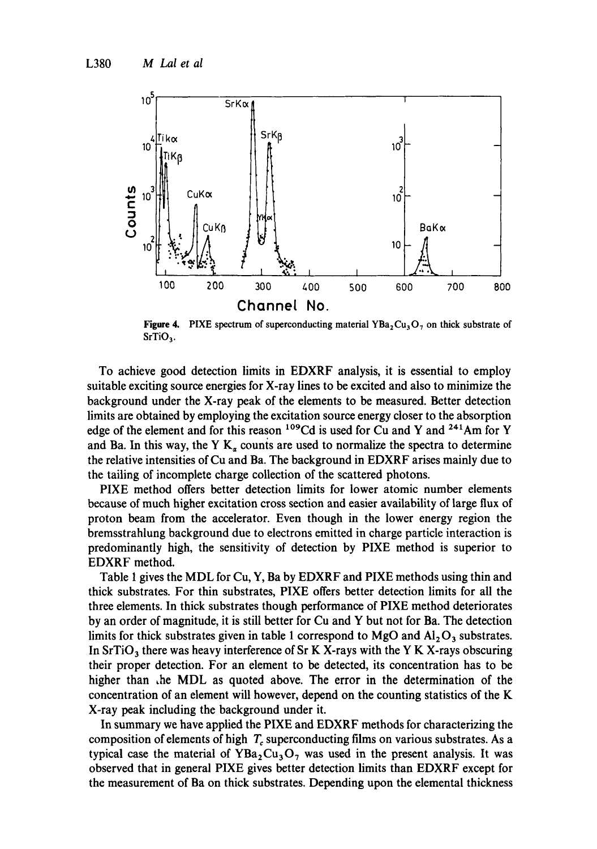

**Figure 4.** PIXE spectrum of superconducting material  $YBa<sub>2</sub>Cu<sub>3</sub>O<sub>7</sub>$  on thick substrate of  $SrTiO<sub>3</sub>$ .

To achieve good detection limits in EDXRF analysis, it is essential to employ suitable exciting source energies for X-ray lines to be excited and also to minimize the background under the X-ray peak of the elements to be measured. Better detection limits are obtained by employing the excitation source energy closer to the absorption edge of the element and for this reason <sup>109</sup>Cd is used for Cu and Y and <sup>241</sup>Am for Y and Ba. In this way, the Y  $K_a$  counts are used to normalize the spectra to determine the relative intensities of Cu and Ba. The background in EDXRF arises mainly due to the tailing of incomplete charge collection of the scattered photons.

PIXE method offers better detection limits for lower atomic number elements because of much higher excitation cross section and easier availability of large flux of proton beam from the accelerator. Even though in the lower energy region the bremsstrahlung background due to electrons emitted in charge particle interaction is predominantly high, the sensitivity of detection by PIXE method is superior to EDXRF method.

Table 1 gives the MDL for Cu, Y, Ba by EDXRF and PIXE methods using thin and thick substrates. For thin substrates, PIXE offers better detection limits for all the three elements. In thick substrates though performance of PIXE method deteriorates by an order of magnitude, it is still better for Cu and Y but not for Ba. The detection limits for thick substrates given in table 1 correspond to MgO and  $Al_2O_3$  substrates. In  $SrTiO<sub>3</sub>$  there was heavy interference of Sr K X-rays with the Y K X-rays obscuring their proper detection. For an element to be detected, its concentration has to be higher than  $\Delta$ he MDL as quoted above. The error in the determination of the concentration of an element will however, depend on the counting statistics of the K X-ray peak including the background under it.

In summary we have applied the PIXE and EDXRF methods for characterizing the composition of elements of high  $T<sub>c</sub>$  superconducting films on various substrates. As a typical case the material of  $YBa<sub>2</sub>Cu<sub>3</sub>O<sub>7</sub>$  was used in the present analysis. It was observed that in general PIXE gives better detection limits than EDXRF except for the measurement of Ba on thick substrates. Depending upon the elemental thickness